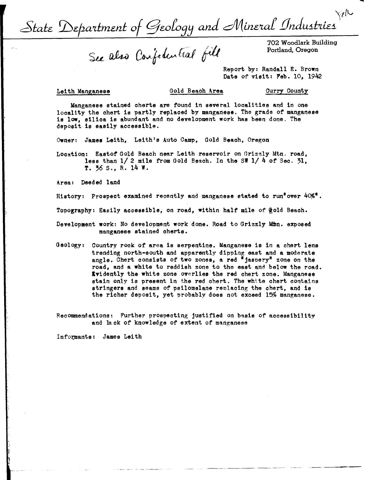Yell State Department of Geology and Mineral Industries

See also Confedential fill

Portland, Oregon

Report by: Randall E. Brown Date of visit: Feb. 10, 1942

## Lei th Manganese Gold Beach **Area**

Curry County

Manganese stained cherts are found in several localities and in one locality the chert is partly replaced by manganese. The grade of manganese **ie low,** silica is abundant and no development work has been done. The deposit is easily accessible.

Owner: **Jamee** Leith, Leith's Auto Camp, Gold Beach, Oregon

Location: Eastof Gold Beach near Leith reservoir on Grizzly Mtn. road, less than  $1/2$  mile from Gold Beach. In the SW  $1/4$  of Sec. 31. **T.** ~6 S., R. 14 W.

Area: Deeded land

History: Prospect examined recently and manganese stated to run<sup>#</sup>over  $40\%$ <sup>#</sup>.

Topography: Easily accessible, on road, within half mile of @old Beach.

- Development work: No development work done. Road to Grizzly Mtn. exposed manganese stained cherts.
- Geology: Country rook of area is serpentine. Manganese is in a chert lens trending north-south and apparently dipping east and a moderate angle. Chert consists of two zones, a red "jaspery" zone on the road, and **a white** to reddish zone to the east and below the road. Evidently the white zone overlies the red chert zone. Manganese stain only is present in the red chert. The white chert contains **stringers** and seams of psilomelane renlaoing the chert, and is the richer deposit, yet probably does not exceed 15% manganese.

RecODIDlendations: Further prospecting justified on **basis** of accessibility and lack of knowledge of extent of manganese

Informants: James Leith